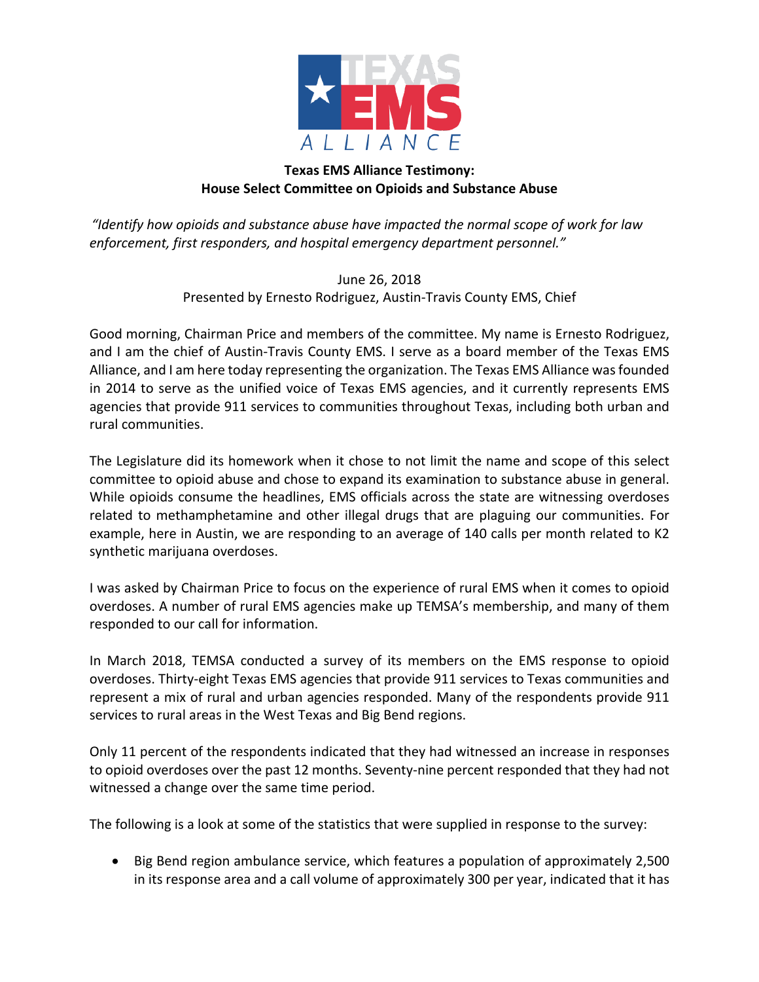

## **Texas EMS Alliance Testimony: House Select Committee on Opioids and Substance Abuse**

"Identify how opioids and substance abuse have impacted the normal scope of work for law *enforcement, first responders, and hospital emergency department personnel."* 

> June 26, 2018 Presented by Ernesto Rodriguez, Austin-Travis County EMS, Chief

Good morning, Chairman Price and members of the committee. My name is Ernesto Rodriguez, and I am the chief of Austin-Travis County EMS. I serve as a board member of the Texas EMS Alliance, and I am here today representing the organization. The Texas EMS Alliance was founded in 2014 to serve as the unified voice of Texas EMS agencies, and it currently represents EMS agencies that provide 911 services to communities throughout Texas, including both urban and rural communities.

The Legislature did its homework when it chose to not limit the name and scope of this select committee to opioid abuse and chose to expand its examination to substance abuse in general. While opioids consume the headlines, EMS officials across the state are witnessing overdoses related to methamphetamine and other illegal drugs that are plaguing our communities. For example, here in Austin, we are responding to an average of 140 calls per month related to K2 synthetic marijuana overdoses.

I was asked by Chairman Price to focus on the experience of rural EMS when it comes to opioid overdoses. A number of rural EMS agencies make up TEMSA's membership, and many of them responded to our call for information.

In March 2018, TEMSA conducted a survey of its members on the EMS response to opioid overdoses. Thirty-eight Texas EMS agencies that provide 911 services to Texas communities and represent a mix of rural and urban agencies responded. Many of the respondents provide 911 services to rural areas in the West Texas and Big Bend regions.

Only 11 percent of the respondents indicated that they had witnessed an increase in responses to opioid overdoses over the past 12 months. Seventy-nine percent responded that they had not witnessed a change over the same time period.

The following is a look at some of the statistics that were supplied in response to the survey:

Big Bend region ambulance service, which features a population of approximately 2,500 in its response area and a call volume of approximately 300 per year, indicated that it has